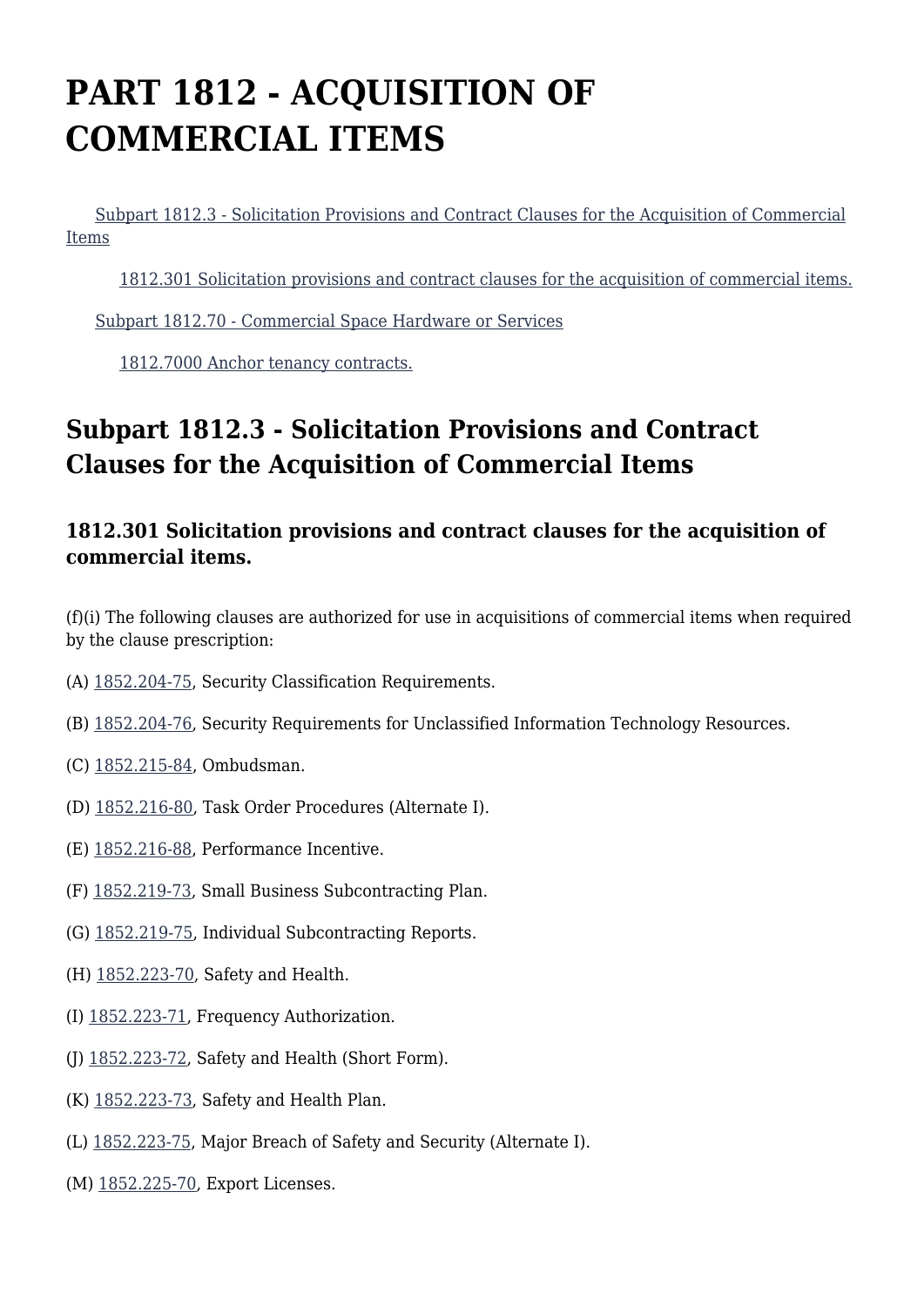# **PART 1812 - ACQUISITION OF COMMERCIAL ITEMS**

 [Subpart 1812.3 - Solicitation Provisions and Contract Clauses for the Acquisition of Commercial](https://login.acquisition.gov/%5Brp:link:nfs-part-1812%5D#Subpart_1812_3_T48_60417111) [Items](https://login.acquisition.gov/%5Brp:link:nfs-part-1812%5D#Subpart_1812_3_T48_60417111)

[1812.301 Solicitation provisions and contract clauses for the acquisition of commercial items.](https://login.acquisition.gov/%5Brp:link:nfs-part-1812%5D#Section_1812_301_T48_6041711111)

[Subpart 1812.70 - Commercial Space Hardware or Services](https://login.acquisition.gov/%5Brp:link:nfs-part-1812%5D#Subpart_1812_70_T48_60417112)

[1812.7000 Anchor tenancy contracts.](https://login.acquisition.gov/%5Brp:link:nfs-part-1812%5D#Section_1812_7000_T48_6041711211)

## **Subpart 1812.3 - Solicitation Provisions and Contract Clauses for the Acquisition of Commercial Items**

### **1812.301 Solicitation provisions and contract clauses for the acquisition of commercial items.**

(f)(i) The following clauses are authorized for use in acquisitions of commercial items when required by the clause prescription:

- (A) [1852.204-75,](https://login.acquisition.gov/%5Brp:link:nfs-part-1852%5D#Section_1852_204_75_T48_6042344113) Security Classification Requirements.
- (B) [1852.204-76,](https://login.acquisition.gov/%5Brp:link:nfs-part-1852%5D#Section_1852_204_76_T48_6042344114) Security Requirements for Unclassified Information Technology Resources.
- (C) [1852.215-84](https://login.acquisition.gov/%5Brp:link:nfs-part-1852%5D#Section_1852_215_84_T48_60423441119), Ombudsman.
- (D) [1852.216-80](https://login.acquisition.gov/%5Brp:link:nfs-part-1852%5D#Section_1852_216_80_T48_60423441128), Task Order Procedures (Alternate I).
- (E) [1852.216-88,](https://login.acquisition.gov/%5Brp:link:nfs-part-1852%5D#Section_1852_216_88_T48_60423441134) Performance Incentive.
- (F) [1852.219-73](https://login.acquisition.gov/%5Brp:link:nfs-part-1852%5D#Section_1852_219_73_T48_60423441142), Small Business Subcontracting Plan.
- (G) [1852.219-75](https://login.acquisition.gov/%5Brp:link:nfs-part-1852%5D#Section_1852_219_75_T48_60423441144), Individual Subcontracting Reports.
- (H) [1852.223-70](https://login.acquisition.gov/%5Brp:link:nfs-part-1852%5D#Section_1852_223_70_T48_60423441154), Safety and Health.
- (I) [1852.223-71](https://login.acquisition.gov/%5Brp:link:nfs-part-1852%5D#Section_1852_223_71_T48_60423441155), Frequency Authorization.
- (J)  $1852.223-72$ , Safety and Health (Short Form).
- (K) [1852.223-73,](https://login.acquisition.gov/%5Brp:link:nfs-part-1852%5D#Section_1852_223_73_T48_60423441157) Safety and Health Plan.
- (L) [1852.223-75](https://login.acquisition.gov/%5Brp:link:nfs-part-1852%5D#Section_1852_223_75_T48_60423441159), Major Breach of Safety and Security (Alternate I).
- (M) [1852.225-70,](https://login.acquisition.gov/%5Brp:link:nfs-part-1852%5D#Section_1852_225_70_T48_60423441162) Export Licenses.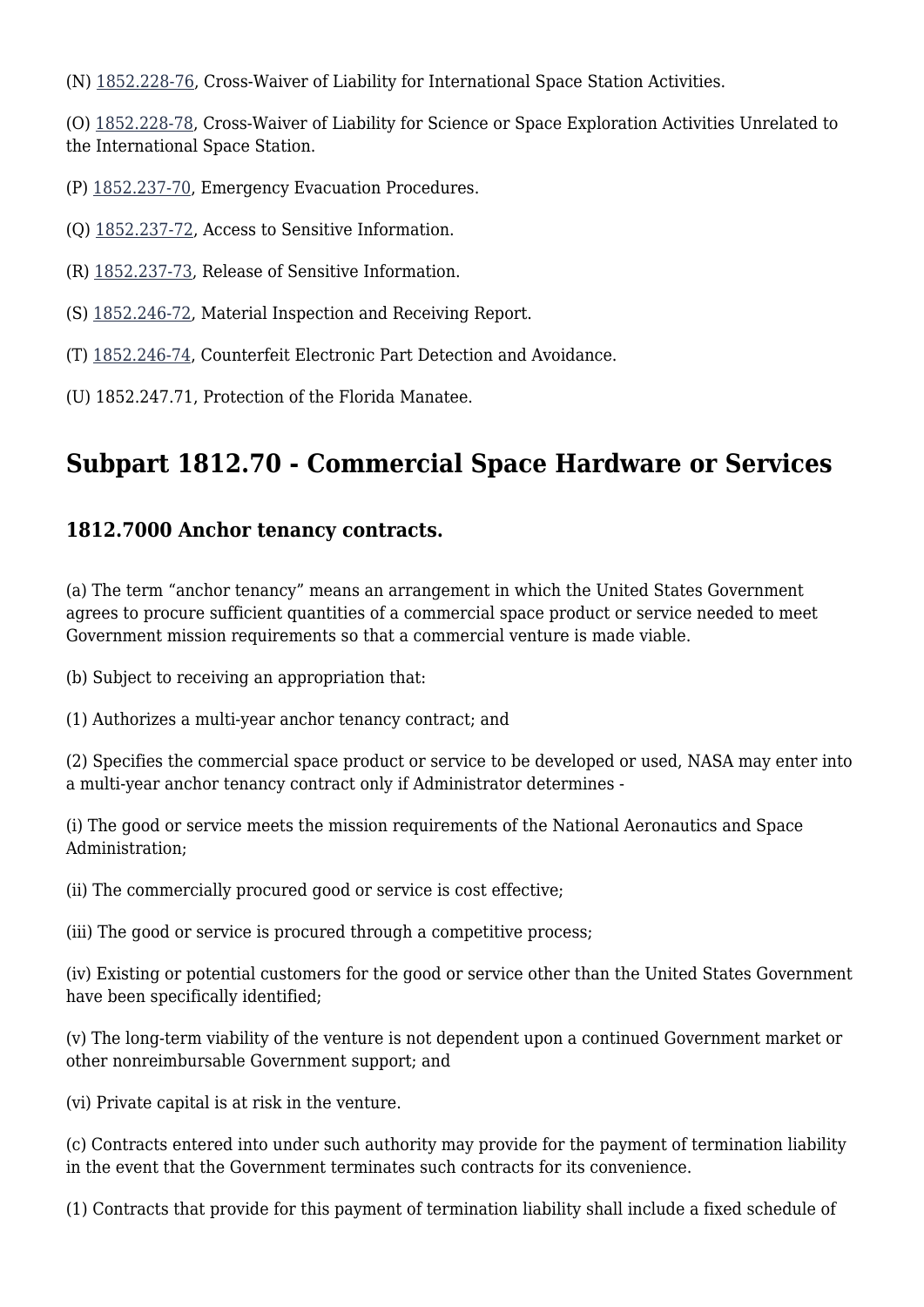(N) [1852.228-76](https://login.acquisition.gov/%5Brp:link:nfs-part-1852%5D#Section_1852_228_76_T48_60423441178), Cross-Waiver of Liability for International Space Station Activities.

(O) [1852.228-78,](https://login.acquisition.gov/%5Brp:link:nfs-part-1852%5D#Section_1852_228_78_T48_60423441179) Cross-Waiver of Liability for Science or Space Exploration Activities Unrelated to the International Space Station.

- (P) [1852.237-70](https://login.acquisition.gov/%5Brp:link:nfs-part-1852%5D#Section_1852_237_70_T48_604234411104), Emergency Evacuation Procedures.
- (Q) [1852.237-72,](https://login.acquisition.gov/%5Brp:link:nfs-part-1852%5D#Section_1852_237_72_T48_604234411106) Access to Sensitive Information.
- (R) [1852.237-73,](https://login.acquisition.gov/%5Brp:link:nfs-part-1852%5D#Section_1852_237_73_T48_604234411107) Release of Sensitive Information.
- (S) [1852.246-72](https://login.acquisition.gov/%5Brp:link:nfs-part-1852%5D#Section_1852_246_72_T48_604234411134), Material Inspection and Receiving Report.
- (T) [1852.246-74](https://login.acquisition.gov/%5Brp:link:nfs-part-1852%5D#Section_1852_246_74_T48_604234411136), Counterfeit Electronic Part Detection and Avoidance.
- (U) 1852.247.71, Protection of the Florida Manatee.

## **Subpart 1812.70 - Commercial Space Hardware or Services**

#### **1812.7000 Anchor tenancy contracts.**

(a) The term "anchor tenancy" means an arrangement in which the United States Government agrees to procure sufficient quantities of a commercial space product or service needed to meet Government mission requirements so that a commercial venture is made viable.

(b) Subject to receiving an appropriation that:

(1) Authorizes a multi-year anchor tenancy contract; and

(2) Specifies the commercial space product or service to be developed or used, NASA may enter into a multi-year anchor tenancy contract only if Administrator determines -

(i) The good or service meets the mission requirements of the National Aeronautics and Space Administration;

(ii) The commercially procured good or service is cost effective;

(iii) The good or service is procured through a competitive process;

(iv) Existing or potential customers for the good or service other than the United States Government have been specifically identified;

(v) The long-term viability of the venture is not dependent upon a continued Government market or other nonreimbursable Government support; and

(vi) Private capital is at risk in the venture.

(c) Contracts entered into under such authority may provide for the payment of termination liability in the event that the Government terminates such contracts for its convenience.

(1) Contracts that provide for this payment of termination liability shall include a fixed schedule of